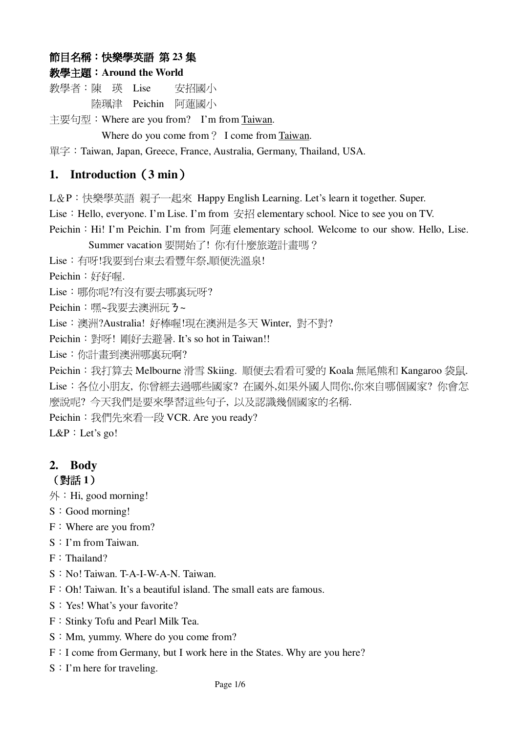# 節目名稱:快樂學英語 第 23 集

## **Around the World**

教學者:陳 瑛 Lise 安招國 安招國小 陸珮津 Peichin 阿蓮國小

主要句型: Where are you from? I'm from Taiwan.

Where do you come from ? I come from Taiwan.

單字: Taiwan, Japan, Greece, France, Australia, Germany, Thailand, USA.

# **1. Introduction3 min**-

L&P:快樂學英語 親子一起來 Happy English Learning. Let's learn it together. Super.

Lise: Hello, everyone. I'm Lise. I'm from 安招 elementary school. Nice to see you on TV.

Peichin: Hi! I'm Peichin. I'm from 阿蓮 elementary school. Welcome to our show. Hello, Lise.

Summer vacation 要開始了! 你有什麼旅遊計畫嗎?

Lise: 有呀!我要到台東去看豐年祭,順便洗溫泉!

Peichin:好好喔.

Lise:哪你呢?有沒有要去哪裏玩呀?

Peichin: 嘿~我要去澳洲玩 3~

Lise:澳洲?Australia! 好棒喔!現在澳洲是冬天 Winter, 對不對?

Peichin: 對呀! 剛好去避暑. It's so hot in Taiwan!!

Lise: 你計畫到澳洲哪裏玩啊?

Peichin: 我打算去 Melbourne 滑雪 Skiing. 順便去看看可愛的 Koala 無尾熊和 Kangaroo 袋鼠. Lise:各位小朋友,你曾經去過哪些國家? 在國外,如果外國人問你,你來自哪個國家? 你會怎 麼說呢? 今天我們是要來學習這些句子,以及認識幾個國家的名稱.

Peichin: 我們先來看一段 VCR. Are you ready?

 $L\&P$ : Let's go!

# **2. Body**

(對話1)

 $\mathcal{H}$ : Hi, good morning!

- $S: Good morning!$
- $F:$  Where are you from?
- S: I'm from Taiwan.
- $F:$  Thailand?
- $S: No!$  Taiwan. T-A-I-W-A-N. Taiwan.
- $F: Oh!$  Taiwan. It's a beautiful island. The small eats are famous.
- S: Yes! What's your favorite?
- F: Stinky Tofu and Pearl Milk Tea.
- $S: Mm$ , yummy. Where do you come from?
- F: I come from Germany, but I work here in the States. Why are you here?
- $S: I'm$  here for traveling.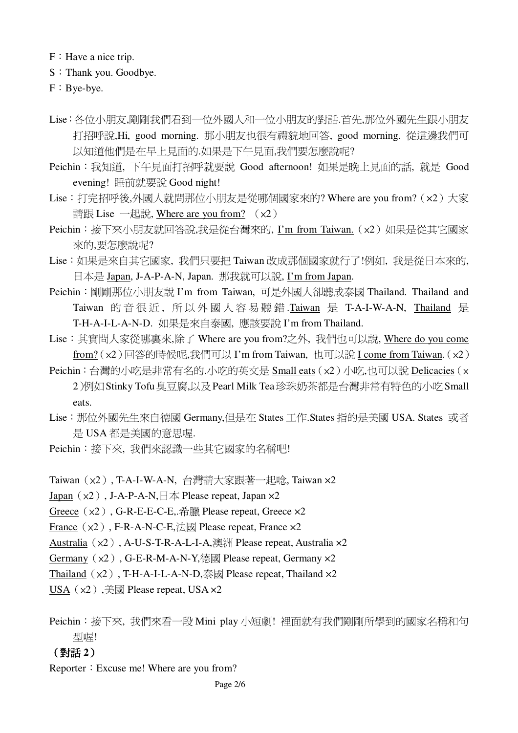F: Have a nice trip.

- S: Thank you. Goodbye.
- $F : Bye-bye.$
- Lise:各位小朋友,剛剛我們看到一位外國人和一位小朋友的對話.首先,那位外國先生跟小朋友 打招呼說,Hi, good morning. 那小朋友也很有禮貌地回答, good morning. 從這邊我們可 以知道他們是在早上見面的.如果是下午見面,我們要怎麼說呢?
- Peichin: 我知道, 下午見面打招呼就要說 Good afternoon! 如果是晚上見面的話, 就是 Good evening! 睡前就要說 Good night!
- Lise: 打完招呼後,外國人就問那位小朋友是從哪個國家來的? Where are you from? (x2) 大家 請跟 Lise 一起說, Where are you from? (x2)
- Peichin: 接下來小朋友就回答說,我是從台灣來的, I'm from Taiwan. (x2) 如果是從其它國家 來的,要怎麼說呢?
- Lise:如果是來自其它國家, 我們只要把 Taiwan 改成那個國家就行了!例如, 我是從日本來的, 日本是 Japan, J-A-P-A-N, Japan. 那我就可以說, I'm from Japan.
- Peichin: 剛剛那位小朋友說 I'm from Taiwan, 可是外國人卻聽成泰國 Thailand. Thailand and Taiwan 的音很近, 所以外國人容易聽錯.Taiwan 是 T-A-I-W-A-N, Thailand 是 T-H-A-I-L-A-N-D. 如果是來自泰國, 應該要說 I'm from Thailand.
- Lise: 其實問人家從哪裏來,除了 Where are you from?之外, 我們也可以說, Where do you come from? (x2)回答的時候呢,我們可以 I'm from Taiwan, 也可以說 I come from Taiwan. (x2)
- Peichin:台灣的小吃是非常有名的.小吃的英文是 Small eats (x2) 小吃,也可以說 Delicacies (x 2)例如 Stinky Tofu 臭豆腐,以及 Pearl Milk Tea珍珠奶茶都是台灣非常有特色的小吃 Small eats.
- Lise: 那位外國先生來自德國 Germany,但是在 States 工作.States 指的是美國 USA. States 或者 是 USA 都是美國的意思喔.
- Peichin: 接下來, 我們來認識一些其它國家的名稱吧!
- Taiwan (x2), T-A-I-W-A-N, 台灣請大家跟著一起唸, Taiwan x2
- Japan ( $\times$ 2), J-A-P-A-N,  $\exists \not\equiv$  Please repeat, Japan  $\times$ 2
- Greece  $(x2)$ , G-R-E-E-C-E,  $\hat{m}$   $\hat{m}$  Please repeat, Greece  $x2$
- France  $(x2)$ , F-R-A-N-C-E,  $\sharp \boxtimes$  Please repeat, France  $x2$
- Australia (x2), A-U-S-T-R-A-L-I-A,澳洲 Please repeat, Australia x2
- Germany  $(x2)$ , G-E-R-M-A-N-Y, 德國 Please repeat, Germany  $x2$
- Thailand  $(x2)$ , T-H-A-I-L-A-N-D,  $\frac{1}{x}$  Please repeat, Thailand  $x2$
- USA  $(x2)$ ,  $\equiv$   $\boxtimes$  Please repeat, USA x2
- Peichin: 接下來, 我們來看一段 Mini play 小短劇! 裡面就有我們剛剛所學到的國家名稱和句 型喔!

#### (對話2)

Reporter: Excuse me! Where are you from?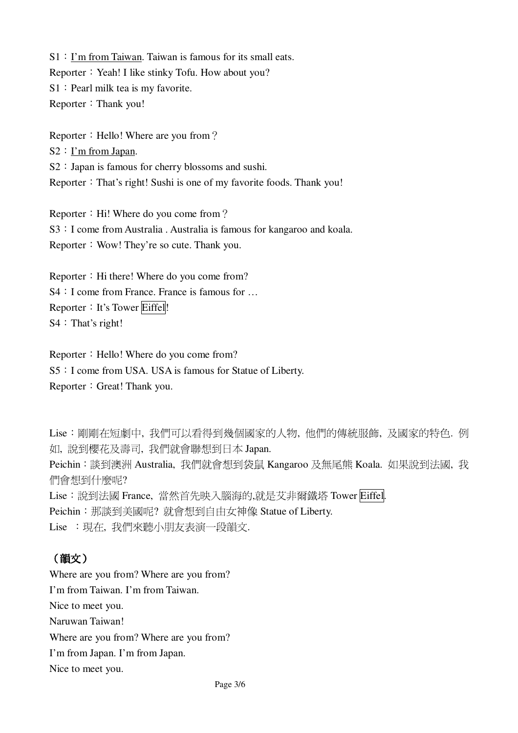S1: I'm from Taiwan. Taiwan is famous for its small eats. Reporter: Yeah! I like stinky Tofu. How about you? S1: Pearl milk tea is my favorite. Reporter: Thank you!

Reporter: Hello! Where are you from?  $S2: I'm from Japan.$ S2: Japan is famous for cherry blossoms and sushi. Reporter: That's right! Sushi is one of my favorite foods. Thank you!

Reporter: Hi! Where do you come from? S3 : I come from Australia. Australia is famous for kangaroo and koala. Reporter: Wow! They're so cute. Thank you.

Reporter: Hi there! Where do you come from? S4 : I come from France. France is famous for ... Reporter: It's Tower Eiffel!  $S4$ : That's right!

Reporter: Hello! Where do you come from? S5: I come from USA. USA is famous for Statue of Liberty. Reporter: Great! Thank you.

Lise:剛剛在短劇中,我們可以看得到幾個國家的人物,他們的傳統服飾,及國家的特色. 例 如,說到櫻花及壽司,我們就會聯想到日本 Japan. Peichin: 談到澳洲 Australia, 我們就會想到袋鼠 Kangaroo 及無尾熊 Koala. 如果說到法國, 我 們會想到什麼呢? Lise: 說到法國 France, 當然首先映入腦海的,就是艾非爾鐵塔 Tower Eiffel. Peichin: 那談到美國呢? 就會想到自由女神像 Statue of Liberty. Lise : 現在, 我們來聽小朋友表演一段韻文.

# (韻文)

Where are you from? Where are you from? I'm from Taiwan. I'm from Taiwan. Nice to meet you. Naruwan Taiwan! Where are you from? Where are you from? I'm from Japan. I'm from Japan. Nice to meet you.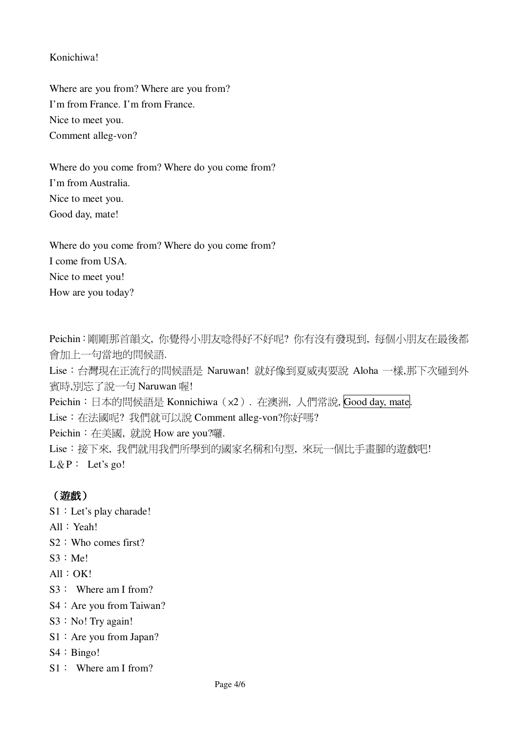#### Konichiwa!

Where are you from? Where are you from? I'm from France. I'm from France. Nice to meet you. Comment alleg-von?

Where do you come from? Where do you come from? I'm from Australia. Nice to meet you. Good day, mate!

Where do you come from? Where do you come from? I come from USA. Nice to meet you! How are you today?

Peichin:剛剛那首韻文, 你覺得小朋友唸得好不好呢? 你有沒有發現到, 每個小朋友在最後都 會加上一句當地的問候語. Lise: 台灣現在正流行的問候語是 Naruwan! 就好像到夏威夷要說 Aloha 一樣,那下次碰到外 賓時,別忘了說一句 Naruwan 喔! Peichin: 日本的問候語是 Konnichiwa (x2). 在澳洲, 人們常說, Good day, mate. Lise: 在法國呢? 我們就可以說 Comment alleg-von?你好嗎? Peichin: 在美國, 就說 How are you?囉. Lise:接下來,我們就用我們所學到的國家名稱和句型,來玩一個比手書腳的遊戲吧!  $L \& P$ : Let's go!

## (遊戲)

S1 : Let's play charade!

- $All: Yeah!$
- $S2$ : Who comes first?
- $S3 : Mel$
- $All: OK!$
- $S3:$  Where am I from?
- S4: Are you from Taiwan?
- $S3 : No!$  Try again!
- $S1$ : Are you from Japan?
- $S4 : Bingo!$
- $S1:$  Where am I from?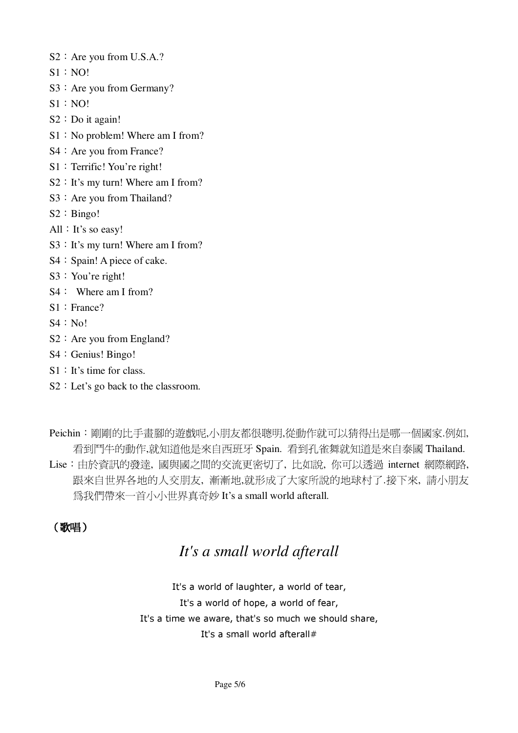- S<sub>2</sub>: Are you from U.S.A.?
- $S1 : NO!$
- S3: Are you from Germany?
- $S1 : NO!$
- $S2 : Do$  it again!
- S1: No problem! Where am I from?
- S4 : Are you from France?
- S1: Terrific! You're right!
- S2: It's my turn! Where am I from?
- S3: Are you from Thailand?
- $S2 : Bingo!$
- All  $:$  It's so easy!
- S3: It's my turn! Where am I from?
- S4 : Spain! A piece of cake.
- S3: You're right!
- $S4$ : Where am I from?
- $S1:$  France?
- $S4 : No!$
- $S2$ : Are you from England?
- S4 : Genius! Bingo!
- $S1$ : It's time for class.
- S2 : Let's go back to the classroom.

Peichin:剛剛的比手書腳的遊戲呢,小朋友都很聰明,從動作就可以猜得出是哪一個國家.例如, 看到鬥牛的動作,就知道他是來自西班牙 Spain. 看到孔雀舞就知道是來自泰國 Thailand. Lise: 由於資訊的發達, 國與國之間的交流更密切了, 比如說, 你可以透過 internet 網際網路, 跟來自世界各地的人交朋友,漸漸地,就形成了大家所說的地球村了.接下來,請小朋友 為我們帶來一首小小世界真奇妙 It's a small world afterall.

## (歌唱)

# It's a small world afterall

It's a world of laughter, a world of tear, It's a world of hope, a world of fear, It's a time we aware, that's so much we should share, It's a small world afterall#